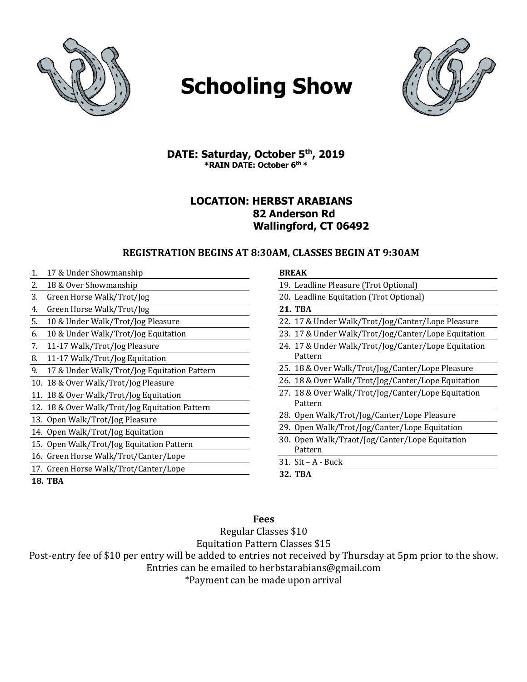

# **Schooling Show**



**DATE: Saturday, October 5th, 2019 \*RAIN DATE: October 6th \***

## **LOCATION: HERBST ARABIANS 82 Anderson Rd Wallingford, CT 06492**

### **REGISTRATION BEGINS AT 8:30AM, CLASSES BEGIN AT 9:30AM**

1. 17 & Under Showmanship 2. 18 & Over Showmanship 3. Green Horse Walk/Trot/Jog 4. Green Horse Walk/Trot/Jog 5. 10 & Under Walk/Trot/Jog Pleasure 6. 10 & Under Walk/Trot/Jog Equitation 7. 11-17 Walk/Trot/Jog Pleasure 8. 11-17 Walk/Trot/Jog Equitation 9. 17 & Under Walk/Trot/Jog Equitation Pattern 10. 18 & Over Walk/Trot/Jog Pleasure 11. 18 & Over Walk/Trot/Jog Equitation 12. 18 & Over Walk/Trot/Jog Equitation Pattern 13. Open Walk/Trot/Jog Pleasure 14. Open Walk/Trot/Jog Equitation 15. Open Walk/Trot/Jog Equitation Pattern 16. Green Horse Walk/Trot/Canter/Lope 17. Green Horse Walk/Trot/Canter/Lope **18. TBA**

#### **BREAK**

| DNEAR                                                          |
|----------------------------------------------------------------|
| 19. Leadline Pleasure (Trot Optional)                          |
| 20. Leadline Equitation (Trot Optional)                        |
| 21. TBA                                                        |
| 22. 17 & Under Walk/Trot/Jog/Canter/Lope Pleasure              |
| 23. 17 & Under Walk/Trot/Jog/Canter/Lope Equitation            |
| 24. 17 & Under Walk/Trot/Jog/Canter/Lope Equitation<br>Pattern |
| 25. 18 & Over Walk/Trot/Jog/Canter/Lope Pleasure               |
| 26. 18 & Over Walk/Trot/Jog/Canter/Lope Equitation             |
| 27. 18 & Over Walk/Trot/Jog/Canter/Lope Equitation<br>Pattern  |
| 28. Open Walk/Trot/Jog/Canter/Lope Pleasure                    |
| 29. Open Walk/Trot/Jog/Canter/Lope Equitation                  |
| 30. Open Walk/Traot/Jog/Canter/Lope Equitation<br>Pattern      |
| $31.$ Sit – A - Buck                                           |
| 32. TBA                                                        |

## **Fees**

Regular Classes \$10

Equitation Pattern Classes \$15

Post-entry fee of \$10 per entry will be added to entries not received by Thursday at 5pm prior to the show.

Entries can be emailed to herbstarabians@gmail.com

\*Payment can be made upon arrival